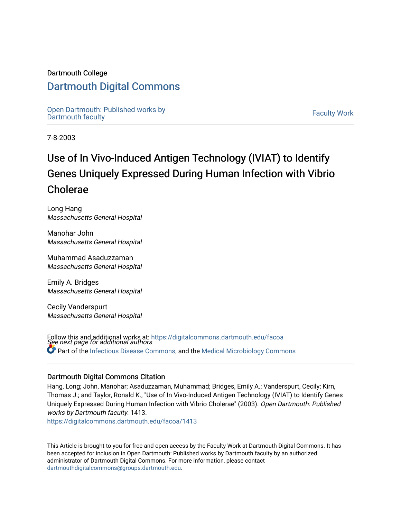### Dartmouth College

# [Dartmouth Digital Commons](https://digitalcommons.dartmouth.edu/)

[Open Dartmouth: Published works by](https://digitalcommons.dartmouth.edu/facoa)  Open Dartmouth Faculty Workship Faculty Work<br>[Dartmouth faculty](https://digitalcommons.dartmouth.edu/facoa)

7-8-2003

# Use of In Vivo-Induced Antigen Technology (IVIAT) to Identify Genes Uniquely Expressed During Human Infection with Vibrio Cholerae

Long Hang Massachusetts General Hospital

Manohar John Massachusetts General Hospital

Muhammad Asaduzzaman Massachusetts General Hospital

Emily A. Bridges Massachusetts General Hospital

Cecily Vanderspurt Massachusetts General Hospital

Follow this and additional works at: [https://digitalcommons.dartmouth.edu/facoa](https://digitalcommons.dartmouth.edu/facoa?utm_source=digitalcommons.dartmouth.edu%2Ffacoa%2F1413&utm_medium=PDF&utm_campaign=PDFCoverPages)<br>See next page for additional authors Part of the [Infectious Disease Commons,](http://network.bepress.com/hgg/discipline/689?utm_source=digitalcommons.dartmouth.edu%2Ffacoa%2F1413&utm_medium=PDF&utm_campaign=PDFCoverPages) and the [Medical Microbiology Commons](http://network.bepress.com/hgg/discipline/672?utm_source=digitalcommons.dartmouth.edu%2Ffacoa%2F1413&utm_medium=PDF&utm_campaign=PDFCoverPages) 

### Dartmouth Digital Commons Citation

Hang, Long; John, Manohar; Asaduzzaman, Muhammad; Bridges, Emily A.; Vanderspurt, Cecily; Kirn, Thomas J.; and Taylor, Ronald K., "Use of In Vivo-Induced Antigen Technology (IVIAT) to Identify Genes Uniquely Expressed During Human Infection with Vibrio Cholerae" (2003). Open Dartmouth: Published works by Dartmouth faculty. 1413.

[https://digitalcommons.dartmouth.edu/facoa/1413](https://digitalcommons.dartmouth.edu/facoa/1413?utm_source=digitalcommons.dartmouth.edu%2Ffacoa%2F1413&utm_medium=PDF&utm_campaign=PDFCoverPages) 

This Article is brought to you for free and open access by the Faculty Work at Dartmouth Digital Commons. It has been accepted for inclusion in Open Dartmouth: Published works by Dartmouth faculty by an authorized administrator of Dartmouth Digital Commons. For more information, please contact [dartmouthdigitalcommons@groups.dartmouth.edu](mailto:dartmouthdigitalcommons@groups.dartmouth.edu).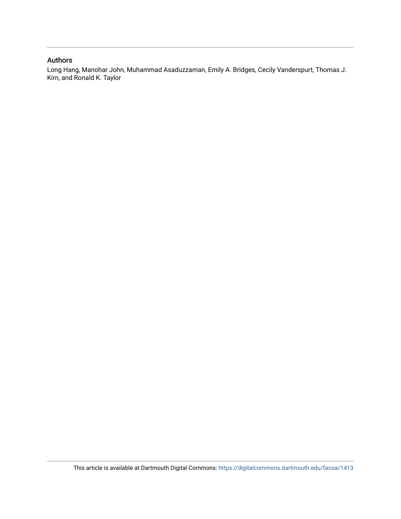## Authors

Long Hang, Manohar John, Muhammad Asaduzzaman, Emily A. Bridges, Cecily Vanderspurt, Thomas J. Kirn, and Ronald K. Taylor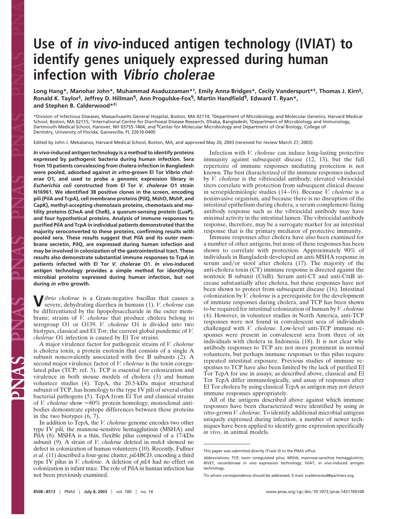# **Use of in vivo-induced antigen technology (IVIAT) to identify genes uniquely expressed during human infection with Vibrio cholerae**

**Long Hang\*, Manohar John\*, Muhammad Asaduzzaman\*†, Emily Anna Bridges\*, Cecily Vanderspurt\*‡, Thomas J. Kirn§, Ronald K. Taylor§, Jeffrey D. Hillman¶, Ann Progulske-Fox¶, Martin Handfield¶, Edward T. Ryan\*, and Stephen B. Calderwood\*‡**

\*Division of Infectious Diseases, Massachusetts General Hospital, Boston, MA 02114; ‡Department of Microbiology and Molecular Genetics, Harvard Medical School, Boston, MA 02115; <sup>†</sup>International Centre for Diarrhoeal Disease Research, Dhaka, Bangladesh; <sup>§</sup>Department of Microbiology and Immunology, Dartmouth Medical School, Hanover, NH 03755-1404; and ¶Center for Molecular Microbiology and Department of Oral Biology, College of Dentistry, University of Florida, Gainesville, FL 32610-0405

Edited by John J. Mekalanos, Harvard Medical School, Boston, MA, and approved May 20, 2003 (received for review March 27, 2003)

*In vivo***-induced antigen technology is a method to identify proteins expressed by pathogenic bacteria during human infection. Sera from 10 patients convalescing from cholera infection in Bangladesh were pooled, adsorbed against** *in vitro***-grown El Tor** *Vibrio cholerae* **O1, and used to probe a genomic expression library in** *Escherichia coli* **constructed from El Tor** *V. cholerae* **O1 strain N16961. We identified 38 positive clones in the screen, encoding pili (PilA and TcpA), cell membrane proteins (PilQ, MshO, MshP, and CapK), methyl-accepting chemotaxis proteins, chemotaxis and motility proteins (CheA and CheR), a quorum-sensing protein (LuxP), and four hypothetical proteins. Analysis of immune responses to purified PilA and TcpA in individual patients demonstrated that the majority seroconverted to these proteins, confirming results with pooled sera. These results suggest that PilA and its outer membrane secretin, PilQ, are expressed during human infection and may be involved in colonization of the gastrointestinal tract. These results also demonstrate substantial immune responses to TcpA in patients infected with El Tor** *V. cholerae* **O1.** *In vivo***-induced antigen technology provides a simple method for identifying microbial proteins expressed during human infection, but not during** *in vitro* **growth.**

**V***ibrio cholerae* is a Gram-negative bacillus that causes a severe, dehydrating diarrhea in humans (1). *V. cholerae* can be differentiated by the lipopolysaccharide in the outer membrane; strains of *V. cholerae* that produce cholera belong to serogroup O1 or O139. *V. cholerae* O1 is divided into two biotypes, classical and El Tor; the current global pandemic of *V. cholerae* O1 infection is caused by El Tor strains.

A major virulence factor for pathogenic strains of *V. cholerae* is cholera toxin, a protein exotoxin that consists of a single A subunit noncovalently associated with five B subunits (2). A second major virulence factor of *V. cholerae* is the toxin coregulated pilus (TCP; ref. 3). TCP is essential for colonization and virulence in both mouse models of cholera (3) and human volunteer studies (4). TcpA, the 20.5-kDa major structural subunit of TCP, has homology to the type IV pili of several other bacterial pathogens (5). TcpA from El Tor and classical strains of *V. cholerae* show  $\approx 80\%$  protein homology; monoclonal antibodies demonstrate epitope differences between these proteins in the two biotypes (6, 7).

In addition to TcpA, the *V. cholerae* genome encodes two other type IV pili, the mannose-sensitive hemagglutinin (MSHA) and PilA (8). MSHA is a thin, flexible pilus composed of a 17-kDa subunit (9). A strain of *V. cholerae* deleted in *mshA* showed no defect in colonization of human volunteers (10). Recently, Fullner *et al.* (11) described a four-gene cluster, *pilABCD*, encoding a third type IV pilus in *V. cholerae*. A deletion of *pilA* had no effect on colonization in infant mice. The role of PilA in human infection has not been previously examined.

Infection with *V. cholerae* can induce long-lasting protective immunity against subsequent disease (12, 13), but the full repertoire of immune responses mediating protection is not known. The best characterized of the immune responses induced by *V. cholerae* is the vibriocidal antibody; elevated vibriocidal titers correlate with protection from subsequent clinical disease in seroepidemiologic studies (14–16). Because *V. cholerae* is a noninvasive organism, and because there is no disruption of the intestinal epithelium during cholera, a serum complement-fixing antibody response such as the vibriocidal antibody may have minimal activity in the intestinal lumen. The vibriocidal antibody response, therefore, may be a surrogate marker for an intestinal response that is the primary mediator of protective immunity.

Immune responses after cholera have also been examined for a number of other antigens, but none of these responses has been shown to correlate with protection. Approximately 90% of individuals in Bangladesh developed an anti-MSHA response in serum and/or stool after cholera (17). The majority of the anti-cholera toxin (CT) immune response is directed against the nontoxic B subunit (CtxB). Serum anti-CT and anti-CtxB increase substantially after cholera, but these responses have not been shown to protect from subsequent disease (16). Intestinal colonization by *V. cholerae* is a prerequisite for the development of immune responses during cholera, and TCP has been shown to be required for intestinal colonization of human by *V. cholerae* (4). However, in volunteer studies in North America, anti-TCP responses were not found in convalescent sera of individuals challenged with *V. cholerae*. Low-level anti-TCP immune responses were present in convalescent sera from three of six individuals with cholera in Indonesia (18). It is not clear why antibody responses to TCP are not more prominent in normal volunteers, but perhaps immune responses to this pilus require repeated intestinal exposure. Previous studies of immune responses to TCP have also been limited by the lack of purified El Tor TcpA for use in assays; as described above, classical and El Tor TcpA differ immunologically, and assay of responses after El Tor cholera by using classical TcpA as antigen may not detect immune responses appropriately.

All of the antigens described above against which immune responses have been characterized were identified by using *in vitro*-grown *V. cholerae*. To identify additional microbial antigens uniquely expressed during infection, a number of newer techniques have been applied to identify gene expression specifically *in vivo*, in animal models.

This paper was submitted directly (Track II) to the PNAS office.

Abbreviations: TCP, toxin coregulated pilus; MSHA, mannose-sensitive hemagglutinin; RIVET, recombinase *in vivo* expression technology; IVIAT, *in vivo*-induced antigen technology.

 $^\text{\textsf{I}}$ To whom correspondence should be addressed. E-mail: scalderwood@partners.org.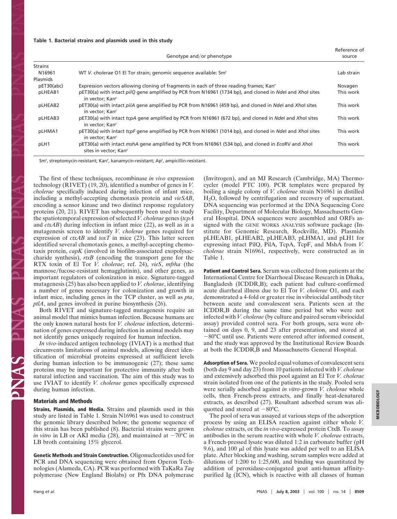|                |                                                                                                                             | Reference of |
|----------------|-----------------------------------------------------------------------------------------------------------------------------|--------------|
|                | Genotype and/or phenotype                                                                                                   | source       |
| <b>Strains</b> |                                                                                                                             |              |
| N16961         | WT V. cholerae O1 El Tor strain; genomic sequence available: Sm <sup>r</sup>                                                | Lab strain   |
| Plasmids       |                                                                                                                             |              |
| pET30(abc)     | Expression vectors allowing cloning of fragments in each of three reading frames; Kan'                                      | Novagen      |
| pLHEAB1        | pET30(a) with intact pilQ gene amplified by PCR from N16961 (1734 bp), and cloned in Ndel and Xhol sites<br>in vector; Kan' | This work    |
| pLHEAB2        | pET30(a) with intact pilA gene amplified by PCR from N16961 (459 bp), and cloned in Ndel and Xhol sites<br>in vector: Kan'  | This work    |
| pLHEAB3        | pET30(a) with intact tcpA gene amplified by PCR from N16961 (672 bp), and cloned in Ndel and Xhol sites<br>in vector; Kan'  | This work    |
| pLHMA1         | pET30(a) with intact tcpF gene amplified by PCR from N16961 (1014 bp), and cloned in Ndel and Xhol sites<br>in vector: Kan' | This work    |
| pLH1           | pET30(a) with intact mshA gene amplified by PCR from N16961 (534 bp), and cloned in EcoRV and Xhol<br>sites in vector; Kan' | This work    |

Sm<sup>r</sup>, streptomycin-resistant; Kan<sup>r</sup>, kanamycin-resistant; Ap<sup>r</sup>, ampicillin-resistant.

The first of these techniques, recombinase *in vivo* expression technology (RIVET) (19, 20), identified a number of genes in *V. cholerae* specifically induced during infection of infant mice, including a methyl-accepting chemotaxis protein and *vieSAB*, encoding a sensor kinase and two distinct response regulatory proteins (20, 21). RIVET has subsequently been used to study the spatiotemporal expression of selected *V. cholerae* genes (*tcpA* and *ctxAB*) during infection in infant mice (22), as well as in a mutagenesis screen to identify *V. cholerae* genes required for expression of *ctxAB* and *toxT* in mice (23). This latter screen identified several chemotaxis genes, a methyl-accepting chemotaxis protein, *capK* (involved in biofilm-associated exopolysaccharide synthesis), *rtxB* (encoding the transport gene for the RTX toxin of El Tor *V. cholerae*; ref. 24), *vieS*, *mfrha* (the mannose/fucose-resistant hemagglutinin), and other genes, as important regulators of colonization in mice. Signature-tagged mutagenesis (25) has also been applied to *V. cholerae*, identifying a number of genes necessary for colonization and growth in infant mice, including genes in the TCP cluster, as well as *pta*, *ptlA*, and genes involved in purine biosynthesis (26).

Both RIVET and signature-tagged mutagenesis require an animal model that mimics human infection. Because humans are the only known natural hosts for *V. cholerae* infection, determination of genes expressed during infection in animal models may not identify genes uniquely required for human infection.

*In vivo*-induced antigen technology (IVIAT) is a method that circumvents limitations of animal models, allowing direct identification of microbial proteins expressed at sufficient levels during human infection to be immunogenic (27); these same proteins may be important for protective immunity after both natural infection and vaccination. The aim of this study was to use IVIAT to identify *V. cholerae* genes specifically expressed during human infection.

#### **Materials and Methods**

**Strains, Plasmids, and Media.** Strains and plasmids used in this study are listed in Table 1. Strain N16961 was used to construct the genomic library described below; the genome sequence of this strain has been published (8). Bacterial strains were grown *in vitro* in LB or AKI media (28), and maintained at  $-70^{\circ}$ C in LB broth containing 15% glycerol.

**Genetic Methods and Strain Construction.** Oligonucleotides used for PCR and DNA sequencing were obtained from Operon Technologies (Alameda, CA). PCR was performed with TaKaRa *Taq* polymerase (New England Biolabs) or Pfx DNA polymerase (Invitrogen), and an MJ Research (Cambridge, MA) Thermocycler (model PTC 100). PCR templates were prepared by boiling a single colony of *V. cholerae* strain N16961 in distilled H<sub>2</sub>O, followed by centrifugation and recovery of supernatant. DNA sequencing was performed at the DNA Sequencing Core Facility, Department of Molecular Biology, Massachusetts General Hospital. DNA sequences were assembled and ORFs assigned with the GENE WORKS ANALYSIS software package (Institute for Genomic Research, Rockville, MD). Plasmids pLHEAB1, pLHEAB2, pLHEAB3, pLHMA1, and pLH1 for expressing intact PilQ, PilA, TcpA, TcpF, and MshA from *V. cholerae* strain N16961, respectively, were constructed as in Table 1.

**Patient and Control Sera.** Serum was collected from patients at the International Centre for Diarrhoeal Disease Research in Dhaka, Bangladesh (ICDDR,B); each patient had culture-confirmed acute diarrheal illness due to El Tor *V. cholerae* O1, and each demonstrated a 4-fold or greater rise in vibriocidal antibody titer between acute and convalescent sera. Patients seen at the ICDDR,B during the same time period but who were not infected with *V. cholerae* (by culture and paired serum vibriocidal assay) provided control sera. For both groups, sera were obtained on days 0, 9, and 23 after presentation, and stored at -80°C until use. Patients were entered after informed consent, and the study was approved by the Institutional Review Boards at both the ICDDR,B and Massachusetts General Hospital.

**Adsorption of Sera.** We pooled equal volumes of convalescent sera (both day 9 and day 23) from 10 patients infected with *V. cholerae* and extensively adsorbed this pool against an El Tor *V. cholerae* strain isolated from one of the patients in the study. Pooled sera were serially adsorbed against *in vitro*-grown *V. cholerae* whole cells, then French-press extracts, and finally heat-denatured extracts, as described (27). Resultant adsorbed serum was aliquotted and stored at  $-80^{\circ}$ C.

The pool of sera was assayed at various steps of the adsorption process by using an ELISA reaction against either whole *V. cholerae* extracts, or the *in vivo*-expressed protein CtxB. To assay antibodies in the serum reactive with whole *V. cholerae* extracts, a French-pressed lysate was diluted 1:2 in carbonate buffer (pH 9.6), and 100  $\mu$  of this lysate was added per well to an ELISA plate. After blocking and washing, serum samples were added at dilutions of 1:200 to 1:25,600, and binding was quantitated by addition of peroxidase-conjugated goat anti-human affinitypurified Ig (ICN), which is reactive with all classes of human

PNAS PP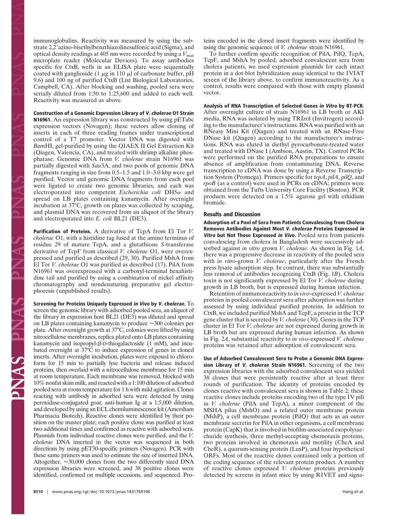immunoglobulins. Reactivity was measured by using the substrate 2,2'azino-bisethylbenzthiazolinesulfonic acid (Sigma), and optical density readings at 405 nm were recorded by using a  $V_{\text{max}}$ microplate reader (Molecular Devices). To assay antibodies specific for CtxB, wells in an ELISA plate were sequentially coated with ganglioside (1  $\mu$ g in 110  $\mu$ l of carbonate buffer, pH 9.6) and 100 ng of purified CtxB (List Biological Laboratories, Campbell, CA). After blocking and washing, pooled sera were serially diluted from 1:50 to 1:25,600 and added to each well. Reactivity was measured as above.

### **Construction of a Genomic Expression Library of V. cholerae O1 Strain**

**N16961.** An expression library was constructed by using pETabc expression vectors (Novagen); these vectors allow cloning of inserts in each of three reading frames under transcriptional control of a T7 promoter. Vector DNA was digested with *Bam*HI, gel-purified by using the QIAEX II Gel Extraction Kit (Qiagen, Valencia, CA), and treated with shrimp alkaline phosphatase. Genomic DNA from *V. cholerae* strain N16961 was partially digested with *Sau*3A, and two pools of genomic DNA fragments ranging in size from 0.5–1.5 and 1.0–3.0 kbp were gel purified. Vector and genomic DNA fragments from each pool were ligated to create two genomic libraries, and each was electroporated into competent *Escherichia coli* DH5 $\alpha$  and spread on LB plates containing kanamycin. After overnight incubation at 37°C, growth on plates was collected by scraping, and plasmid DNA was recovered from an aliquot of the library and electroporated into *E. coli* BL21 (DE3).

**Purification of Proteins.** A derivative of TcpA from El Tor *V. cholerae* O1, with a histidine tag fused at the amino terminus of residue 29 of mature TcpA, and a glutathione *S*-transferase derivative of TcpF from classical *V. cholerae* O1, were overexpressed and purified as described (29, 30). Purified MshA from El Tor *V. cholerae* O1 was purified as described (17). PilA from N16961 was overexpressed with a carboxyl-terminal hexahistidine tail and purified by using a combination of nickel affinity chromatography and nondenaturing preparative gel electrophoresis (unpublished results).

**Screening for Proteins Uniquely Expressed in Vivo by V. cholerae.** To screen the genomic library with adsorbed pooled sera, an aliquot of the library in expression host BL21 (DE3) was diluted and spread on LB plates containing kanamycin to produce  $\approx$  300 colonies per plate. After overnight growth at 37°C, colonies were lifted by using nitrocellulose membranes, replica plated onto LB plates containing kanamycin and isopropyl- $\beta$ -D-thiogalactoside (1 mM), and incubated overnight at 37°C to induce expression of genes in cloned inserts. After overnight incubation, plates were exposed to chloroform for 15 min to partially lyse bacteria and release induced proteins, then overlaid with a nitrocellulose membrane for 15 min at room temperature. Each membrane was removed, blocked with 10% nonfat skim milk, and reacted with a 1:100 dilution of adsorbed pooled sera at room temperature for 1 h with mild agitation. Clones reacting with antibody in adsorbed sera were detected by using peroxidase-conjugated goat, anti-human Ig at a 1:5,000 dilution, and developed by using an ECL chemiluminescence kit (Amersham Pharmacia Biotech). Reactive clones were identified by their position on the master plate; each positive clone was purified at least two additional times and confirmed as reactive with adsorbed sera. Plasmids from individual reactive clones were purified, and the *V. cholerae* DNA inserted in the vector was sequenced in both directions by using pET30-specific primers (Novagen). PCR with these same primers was used to estimate the size of inserted DNA. Altogether,  $\approx 30,000$  clones from the two differently sized DNA expression libraries were screened, and 38 positive clones were identified, confirmed on multiple occasions, and sequenced. Proteins encoded in the cloned insert fragments were identified by using the genomic sequence of *V. cholerae* strain N16961.

To further confirm specific recognition of PilA, PilQ, TcpA, TcpF, and MshA by pooled, adsorbed convalescent sera from cholera patients, we used expression plasmids for each intact protein in a dot-blot hybridization assay identical to the IVIAT screen of the library above, to confirm immunoreactivity. As a control, results were compared with those with empty plasmid vector.

### **Analysis of RNA Transcription of Selected Genes in Vitro by RT-PCR.**

After overnight culture of strain N16961 in LB broth or AKI media, RNA was isolated by using TRIzol (Invitrogen) according to the manufacturer's instructions. RNA was purified with an RNeasy Mini Kit (Qiagen) and treated with an RNase-Free DNase kit (Qiagen) according to the manufacturer's instructions. RNA was eluted in diethyl pyrocarbonate-treated water and treated with DNase I (Ambion, Austin, TX). Control PCRs were performed on the purified RNA preparations to ensure absence of amplification from contaminating DNA. Reverse transcription to cDNA was done by using a Reverse Transcription System (Promega). Primers specific for *tcpA*, *pilA*, *pilQ*, and *rpoB* (as a control) were used in PCRs on cDNA; primers were obtained from the Tufts University Core Facility (Boston). PCR products were detected on a 1.5% agarose gel with ethidium bromide.

#### **Results and Discussion**

**Adsorption of a Pool of Sera from Patients Convalescing from Cholera Removes Antibodies Against Most V. cholerae Proteins Expressed in Vitro but Not Those Expressed in Vivo.** Pooled sera from patients convalescing from cholera in Bangladesh were successively adsorbed against *in vitro* grown *V. cholerae.* As shown in Fig. 1*A*, there was a progressive decrease in reactivity of the pooled sera with *in vitro*-grown *V. cholerae*, particularly after the French press lysate adsorption step. In contrast, there was substantially less removal of antibodies recognizing CtxB (Fig. 1*B*). Cholera toxin is not significantly expressed by El Tor *V. cholerae* during growth in LB broth, but is expressed during human infection.

Retention of immunoreactivity to *in vivo*-expressed *V. cholerae* proteins in pooled convalescent sera after adsorption was further assessed by using individual purified proteins. In addition to CtxB, we included purified MshA and TcpF, a protein in the TCP gene cluster that is secreted by *V. cholerae* (30). Genes in the TCP cluster in El Tor *V. cholerae* are not expressed during growth in LB broth but are expressed during human infection. As shown in Fig. 2*A*, substantial reactivity to *in vivo*-expressed *V. cholerae* proteins was retained after adsorption of convalescent sera.

**Use of Adsorbed Convalescent Sera to Probe a Genomic DNA Expression Library of V. cholerae Strain N16961.** Screening of the two expression libraries with the adsorbed convalescent sera yielded 38 clones that were persistently reactive after at least three rounds of purification. The identity of proteins encoded by clones reactive with convalescent sera is shown in Table 2; these reactive clones include proteins encoding two of the type IV pili in *V. cholerae* (PilA and TcpA), a minor component of the MSHA pilus (MshO) and a related outer membrane protein (MshP), a cell membrane protein (PilQ) that acts as an outer membrane secretin for PilA in other organisms, a cell membrane protein (CapK) that is involved in biofilm-associated exopolysaccharide synthesis, three methyl-accepting chemotaxis proteins, two proteins involved in chemotaxis and motility (CheA and CheR), a quorum-sensing protein (LuxP), and four hypothetical ORFs. Most of the reactive clones contained only a portion of the coding sequence of the relevant protein product. A number of reactive clones expressed *V. cholerae* proteins previously detected by screens in infant mice by using RIVET and signa-

P PNAS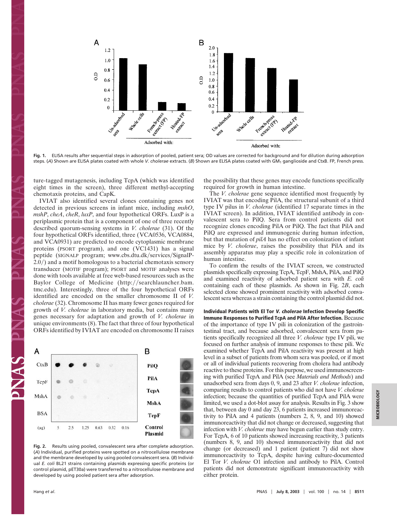

**Fig. 1.** ELISA results after sequential steps in adsorption of pooled, patient sera; OD values are corrected for background and for dilution during adsorption steps. (A) Shown are ELISA plates coated with whole *V. cholerae* extracts. (B) Shown are ELISA plates coated with GM<sub>1</sub> ganglioside and CtxB. FP, French press.

ture-tagged mutagenesis, including TcpA (which was identified eight times in the screen), three different methyl-accepting chemotaxis proteins, and CapK.

IVIAT also identified several clones containing genes not detected in previous screens in infant mice, including *mshO*, *mshP*, *cheA*, *cheR*, *luxP*, and four hypothetical ORFs. LuxP is a periplasmic protein that is a component of one of three recently described quorum-sensing systems in *V. cholerae* (31). Of the four hypothetical ORFs identified, three (VCA0536, VCA0884, and VCA0931) are predicted to encode cytoplasmic membrane proteins (PSORT program), and one (VC1431) has a signal peptide (SIGNALP program; www.cbs.dtu.dk/services/SignalP-2.0/) and a motif homologous to a bacterial chemotaxis sensory transducer (MOTIF program); PSORT and MOTIF analyses were done with tools available at free web-based resources such as the Baylor College of Medicine (http://searchlauncher.bam. tmc.edu). Interestingly, three of the four hypothetical ORFs identified are encoded on the smaller chromosome II of *V. cholerae* (32). Chromosome II has many fewer genes required for growth of *V. cholerae* in laboratory media, but contains many genes necessary for adaptation and growth of *V. cholerae* in unique environments (8). The fact that three of four hypothetical ORFs identified by IVIAT are encoded on chromosome II raises



**Fig. 2.** Results using pooled, convalescent sera after complete adsorption. (*A*) Individual, purified proteins were spotted on a nitrocellulose membrane and the membrane developed by using pooled convalescent sera. (*B*) Individual *E. coli* BL21 strains containing plasmids expressing specific proteins (or control plasmid, pET30a) were transferred to a nitrocellulose membrane and developed by using pooled patient sera after adsorption.

the possibility that these genes may encode functions specifically required for growth in human intestine.

The *V. cholerae* gene sequence identified most frequently by IVIAT was that encoding PilA, the structural subunit of a third type IV pilus in *V. cholerae* (identified 17 separate times in the IVIAT screen). In addition, IVIAT identified antibody in convalescent sera to PilQ. Sera from control patients did not recognize clones encoding PilA or PilQ. The fact that PilA and PilQ are expressed and immunogenic during human infection, but that mutation of *pilA* has no effect on colonization of infant mice by *V. cholerae*, raises the possibility that PilA and its assembly apparatus may play a specific role in colonization of human intestine.

To confirm the results of the IVIAT screen, we constructed plasmids specifically expressing TcpA, TcpF, MshA, PilA, and PilQ and examined reactivity of adsorbed patient sera with *E. coli* containing each of these plasmids. As shown in Fig. 2*B*, each selected clone showed prominent reactivity with adsorbed convalescent sera whereas a strain containing the control plasmid did not.

**Individual Patients with El Tor V. cholerae Infection Develop Specific Immune Responses to Purified TcpA and PilA After Infection.** Because of the importance of type IV pili in colonization of the gastrointestinal tract, and because adsorbed, convalescent sera from patients specifically recognized all three *V. cholerae* type IV pili, we focused on further analysis of immune responses to these pili. We examined whether TcpA and PilA reactivity was present at high level in a subset of patients from whom sera was pooled, or if most or all of individual patients recovering from cholera had antibody reactive to these proteins. For this purpose, we used immunoscreening with purified TcpA and PilA (see *Materials and Methods*) and unadsorbed sera from days 0, 9, and 23 after *V. cholerae* infection, comparing results to control patients who did not have *V. cholerae* infection; because the quantities of purified TcpA and PilA were limited, we used a dot-blot assay for analysis. Results in Fig. 3 show that, between day 0 and day 23, 6 patients increased immunoreactivity to PilA and 4 patients (numbers 2, 8, 9, and 10) showed immunoreactivity that did not change or decreased, suggesting that infection with *V. cholerae* may have begun earlier than study entry. For TcpA, 6 of 10 patients showed increasing reactivity, 3 patients (numbers 8, 9, and 10) showed immunoreactivity that did not change (or decreased) and 1 patient (patient 7) did not show immunoreactivity to TcpA, despite having culture-documented El Tor *V. cholerae* O1 infection and antibody to PilA. Control patients did not demonstrate significant immunoreactivity with either protein.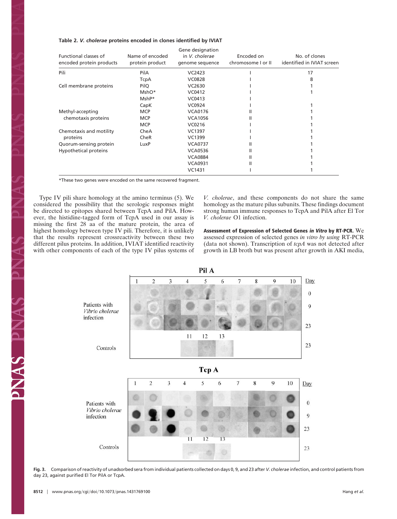|  | Table 2. V. cholerae proteins encoded in clones identified by IVIAT |  |  |  |  |  |
|--|---------------------------------------------------------------------|--|--|--|--|--|
|--|---------------------------------------------------------------------|--|--|--|--|--|

| Functional classes of<br>encoded protein products | Name of encoded<br>protein product | Gene designation<br>in V. cholerae<br>genome sequence | Encoded on<br>chromosome I or II | No. of clones<br>identified in IVIAT screen |
|---------------------------------------------------|------------------------------------|-------------------------------------------------------|----------------------------------|---------------------------------------------|
| Pili                                              | PilA                               | VC2423                                                |                                  | 17                                          |
|                                                   | TcpA                               | <b>VC0828</b>                                         |                                  | 8                                           |
| Cell membrane proteins                            | PilQ                               | VC2630                                                |                                  |                                             |
|                                                   | MshO*                              | VC0412                                                |                                  |                                             |
|                                                   | MshP*                              | VC0413                                                |                                  |                                             |
|                                                   | CapK                               | VC0924                                                |                                  |                                             |
| Methyl-accepting                                  | <b>MCP</b>                         | <b>VCA0176</b>                                        |                                  |                                             |
| chemotaxis proteins                               | <b>MCP</b>                         | <b>VCA1056</b>                                        |                                  |                                             |
|                                                   | <b>MCP</b>                         | VC0216                                                |                                  |                                             |
| Chemotaxis and motility                           | CheA                               | VC1397                                                |                                  |                                             |
| proteins                                          | CheR                               | VC1399                                                |                                  |                                             |
| Quorum-sensing protein                            | LuxP                               | <b>VCA0737</b>                                        |                                  |                                             |
| <b>Hypothetical proteins</b>                      |                                    | <b>VCA0536</b>                                        |                                  |                                             |
|                                                   |                                    | <b>VCA0884</b>                                        |                                  |                                             |
|                                                   |                                    | <b>VCA0931</b>                                        |                                  |                                             |
|                                                   |                                    | VC1431                                                |                                  |                                             |

\*These two genes were encoded on the same recovered fragment.

Type IV pili share homology at the amino terminus (5). We considered the possibility that the serologic responses might be directed to epitopes shared between TcpA and PilA. However, the histidine-tagged form of TcpA used in our assay is missing the first 28 aa of the mature protein, the area of highest homology between type IV pili. Therefore, it is unlikely that the results represent crossreactivity between these two different pilus proteins. In addition, IVIAT identified reactivity with other components of each of the type IV pilus systems of *V. cholerae*, and these components do not share the same homology as the mature pilus subunits. These findings document strong human immune responses to TcpA and PilA after El Tor *V. cholerae* O1 infection.

**Assessment of Expression of Selected Genes in Vitro by RT-PCR.** We assessed expression of selected genes *in vitro by using* RT-PCR (data not shown). Transcription of *tcpA* was not detected after growth in LB broth but was present after growth in AKI media,



**Fig. 3.** Comparison of reactivity of unadsorbed sera from individual patients collected on days 0, 9, and 23 after *V. cholerae* infection, and control patients from day 23, against purified El Tor PilA or TcpA.

ANAS PNA